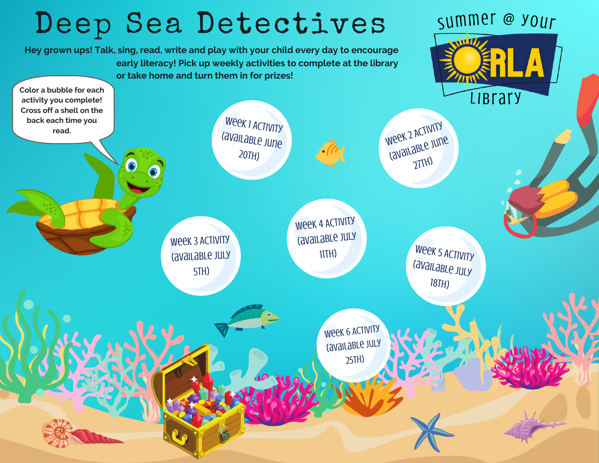## Deep Sea Detectives summer @ your  $\sqrt{V}$ **Hey grown ups! Talk, sing, read, write and play with your child every day to encourage early literacy! Pick up weekly activities to complete at the library or take home and turn them in for prizes! Color a bubble for each LIBrary activity you complete! Cross off a shell on the** Week 1 ACTIVITY **back each time you** Week 2 ACTIVITY **read.** (available June (available June  $20TH$ )  $2THH$ 6 Week 4 ACTIVITY (available July Week 3 Activity 11th) Week <sup>5</sup> Activity (available july (available July 5th)  $18TH$ Week 6 ACTIVITY (available July 25th)